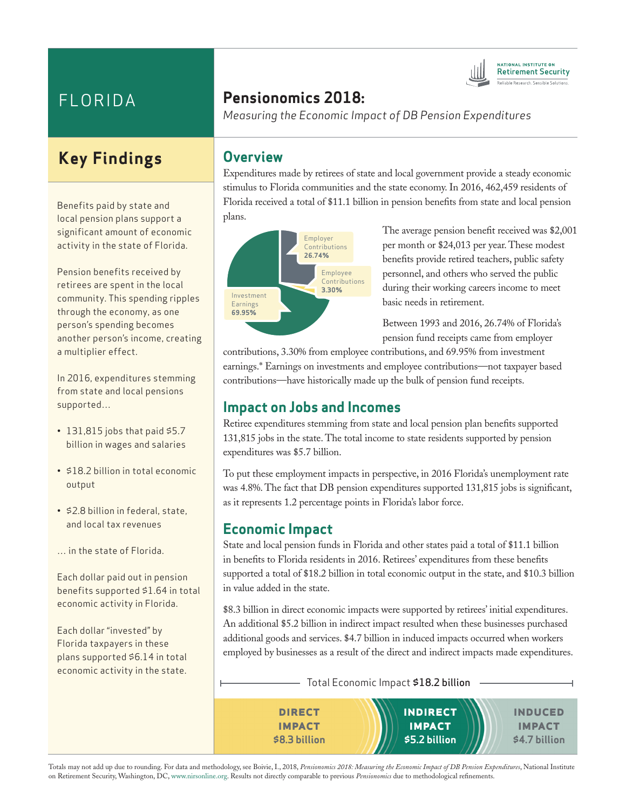# FLORIDA

## **Key Findings**

Benefits paid by state and local pension plans support a significant amount of economic activity in the state of Florida.

Pension benefits received by retirees are spent in the local community. This spending ripples through the economy, as one person's spending becomes another person's income, creating a multiplier effect.

In 2016, expenditures stemming from state and local pensions supported…

- $\cdot$  131,815 jobs that paid \$5.7 billion in wages and salaries
- \$18.2 billion in total economic output
- \$2.8 billion in federal, state, and local tax revenues
- … in the state of Florida.

Each dollar paid out in pension benefits supported \$1.64 in total economic activity in Florida.

Each dollar "invested" by Florida taxpayers in these plans supported \$6.14 in total economic activity in the state.

# **Pensionomics 2018:**

*Measuring the Economic Impact of DB Pension Expenditures*

#### **Overview**

Expenditures made by retirees of state and local government provide a steady economic stimulus to Florida communities and the state economy. In 2016, 462,459 residents of Florida received a total of \$11.1 billion in pension benefits from state and local pension plans.



The average pension benefit received was \$2,001 per month or \$24,013 per year. These modest benefits provide retired teachers, public safety personnel, and others who served the public during their working careers income to meet basic needs in retirement.

**ATIONAL INSTITUTE ON Retirement Security** 

Between 1993 and 2016, 26.74% of Florida's pension fund receipts came from employer

contributions, 3.30% from employee contributions, and 69.95% from investment earnings.\* Earnings on investments and employee contributions—not taxpayer based contributions—have historically made up the bulk of pension fund receipts.

#### **Impact on Jobs and Incomes**

Retiree expenditures stemming from state and local pension plan benefits supported 131,815 jobs in the state. The total income to state residents supported by pension expenditures was \$5.7 billion.

To put these employment impacts in perspective, in 2016 Florida's unemployment rate was 4.8%. The fact that DB pension expenditures supported 131,815 jobs is significant, as it represents 1.2 percentage points in Florida's labor force.

### **Economic Impact**

State and local pension funds in Florida and other states paid a total of \$11.1 billion in benefits to Florida residents in 2016. Retirees' expenditures from these benefits supported a total of \$18.2 billion in total economic output in the state, and \$10.3 billion in value added in the state.

\$8.3 billion in direct economic impacts were supported by retirees' initial expenditures. An additional \$5.2 billion in indirect impact resulted when these businesses purchased additional goods and services. \$4.7 billion in induced impacts occurred when workers employed by businesses as a result of the direct and indirect impacts made expenditures.

**direct impact \$8.3 billion INDIRECT impact \$5.2 billion induced impact \$4.7 billion** Total Economic Impact \$18.2 billion

Totals may not add up due to rounding. For data and methodology, see Boivie, I., 2018, *Pensionomics 2018: Measuring the Economic Impact of DB Pension Expenditures*, National Institute on Retirement Security, Washington, DC, www.nirsonline.org. Results not directly comparable to previous *Pensionomics* due to methodological refinements.